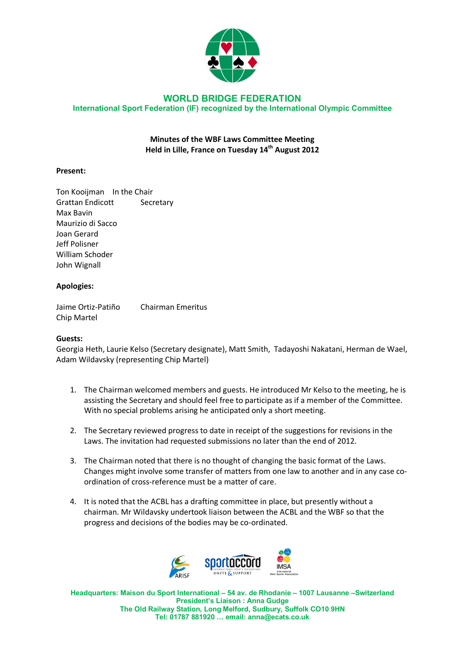

### **WORLD BRIDGE FEDERATION International Sport Federation (IF) recognized by the International Olympic Committee**

# **Minutes of the WBF Laws Committee Meeting Held in Lille, France on Tuesday 14th August 2012**

## **Present:**

Ton Kooijman In the Chair Grattan Endicott Secretary Max Bavin Maurizio di Sacco Joan Gerard Jeff Polisner William Schoder John Wignall

### **Apologies:**

Jaime Ortiz-Patiño Chairman Emeritus Chip Martel

### **Guests:**

Georgia Heth, Laurie Kelso (Secretary designate), Matt Smith, Tadayoshi Nakatani, Herman de Wael, Adam Wildavsky (representing Chip Martel)

- 1. The Chairman welcomed members and guests. He introduced Mr Kelso to the meeting, he is assisting the Secretary and should feel free to participate as if a member of the Committee. With no special problems arising he anticipated only a short meeting.
- 2. The Secretary reviewed progress to date in receipt of the suggestions for revisions in the Laws. The invitation had requested submissions no later than the end of 2012.
- 3. The Chairman noted that there is no thought of changing the basic format of the Laws. Changes might involve some transfer of matters from one law to another and in any case coordination of cross-reference must be a matter of care.
- 4. It is noted that the ACBL has a drafting committee in place, but presently without a chairman. Mr Wildavsky undertook liaison between the ACBL and the WBF so that the progress and decisions of the bodies may be co-ordinated.



**Headquarters: Maison du Sport International – 54 av. de Rhodanie – 1007 Lausanne –Switzerland President's Liaison : Anna Gudge The Old Railway Station, Long Melford, Sudbury, Suffolk CO10 9HN Tel: 01787 881920 … email: anna@ecats.co.uk**